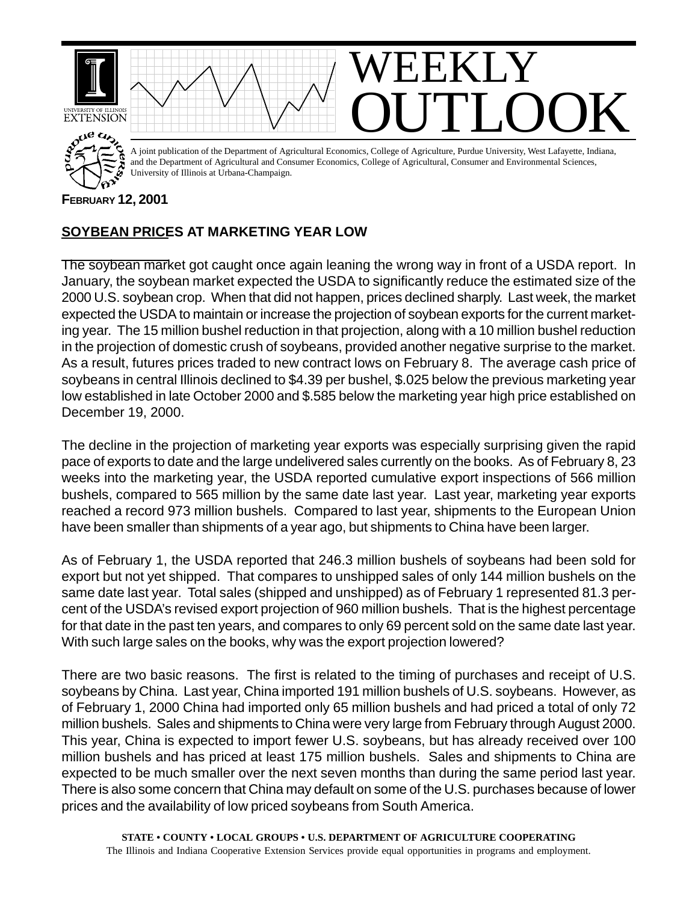

## **FEBRUARY 12, 2001**

## **SOYBEAN PRICES AT MARKETING YEAR LOW**

The soybean market got caught once again leaning the wrong way in front of a USDA report. In January, the soybean market expected the USDA to significantly reduce the estimated size of the 2000 U.S. soybean crop. When that did not happen, prices declined sharply. Last week, the market expected the USDA to maintain or increase the projection of soybean exports for the current marketing year. The 15 million bushel reduction in that projection, along with a 10 million bushel reduction in the projection of domestic crush of soybeans, provided another negative surprise to the market. As a result, futures prices traded to new contract lows on February 8. The average cash price of soybeans in central Illinois declined to \$4.39 per bushel, \$.025 below the previous marketing year low established in late October 2000 and \$.585 below the marketing year high price established on December 19, 2000.

The decline in the projection of marketing year exports was especially surprising given the rapid pace of exports to date and the large undelivered sales currently on the books. As of February 8, 23 weeks into the marketing year, the USDA reported cumulative export inspections of 566 million bushels, compared to 565 million by the same date last year. Last year, marketing year exports reached a record 973 million bushels. Compared to last year, shipments to the European Union have been smaller than shipments of a year ago, but shipments to China have been larger.

As of February 1, the USDA reported that 246.3 million bushels of soybeans had been sold for export but not yet shipped. That compares to unshipped sales of only 144 million bushels on the same date last year. Total sales (shipped and unshipped) as of February 1 represented 81.3 percent of the USDA's revised export projection of 960 million bushels. That is the highest percentage for that date in the past ten years, and compares to only 69 percent sold on the same date last year. With such large sales on the books, why was the export projection lowered?

There are two basic reasons. The first is related to the timing of purchases and receipt of U.S. soybeans by China. Last year, China imported 191 million bushels of U.S. soybeans. However, as of February 1, 2000 China had imported only 65 million bushels and had priced a total of only 72 million bushels. Sales and shipments to China were very large from February through August 2000. This year, China is expected to import fewer U.S. soybeans, but has already received over 100 million bushels and has priced at least 175 million bushels. Sales and shipments to China are expected to be much smaller over the next seven months than during the same period last year. There is also some concern that China may default on some of the U.S. purchases because of lower prices and the availability of low priced soybeans from South America.